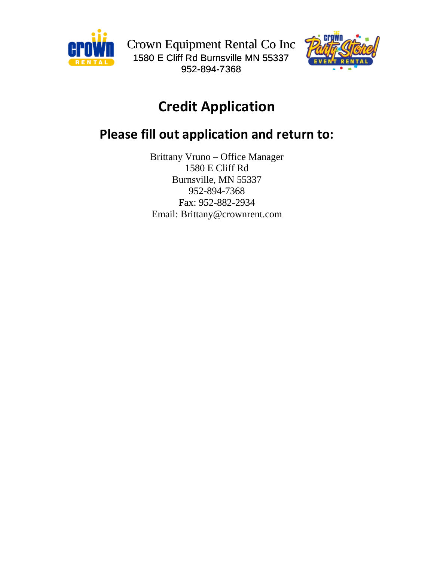



# **Credit Application**

## **Please fill out application and return to:**

Brittany Vruno – Office Manager 1580 E Cliff Rd Burnsville, MN 55337 952-894-7368 Fax: 952-882-2934 Email: Brittany@crownrent.com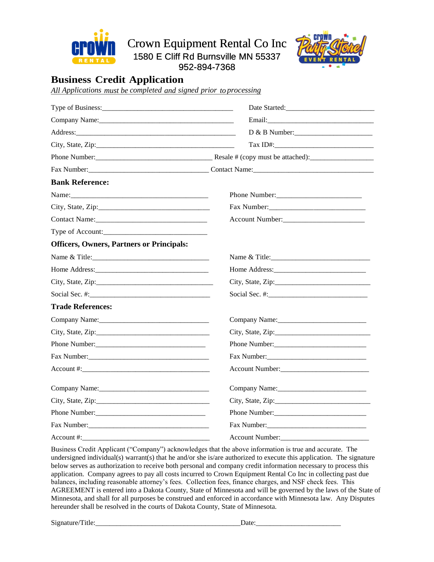

Crown Equipment Rental Co Inc

1580 E Cliff Rd Burnsville MN 55337

952-894-7368



### **Business Credit Application**

*All Applications must be completed and signed prior to processing*

|                                                  | Date Started:               |  |
|--------------------------------------------------|-----------------------------|--|
|                                                  |                             |  |
|                                                  |                             |  |
|                                                  | Tax ID#:                    |  |
|                                                  |                             |  |
|                                                  |                             |  |
| <b>Bank Reference:</b>                           |                             |  |
|                                                  |                             |  |
|                                                  |                             |  |
| Contact Name:                                    | Account Number:             |  |
|                                                  |                             |  |
| <b>Officers, Owners, Partners or Principals:</b> |                             |  |
| Name & Title:                                    |                             |  |
|                                                  |                             |  |
|                                                  | City, State, Zip:           |  |
|                                                  |                             |  |
| <b>Trade References:</b>                         |                             |  |
| Company Name:                                    |                             |  |
|                                                  |                             |  |
|                                                  | Phone Number:               |  |
|                                                  | Fax Number:                 |  |
| Account #:                                       | Account Number:             |  |
| Company Name: Company Name:                      | Company Name: Company Name: |  |
|                                                  |                             |  |
|                                                  |                             |  |
|                                                  | Fax Number:                 |  |
| Account #:                                       | <b>Account Number:</b>      |  |

Business Credit Applicant ("Company") acknowledges that the above information is true and accurate. The undersigned individual(s) warrant(s) that he and/or she is/are authorized to execute this application. The signature below serves as authorization to receive both personal and company credit information necessary to process this application. Company agrees to pay all costs incurred to Crown Equipment Rental Co Inc in collecting past due balances, including reasonable attorney's fees. Collection fees, finance charges, and NSF check fees. This AGREEMENT is entered into a Dakota County, State of Minnesota and will be governed by the laws of the State of Minnesota, and shall for all purposes be construed and enforced in accordance with Minnesota law. Any Disputes hereunder shall be resolved in the courts of Dakota County, State of Minnesota.

Signature/Title:\_\_\_\_\_\_\_\_\_\_\_\_\_\_\_\_\_\_\_\_\_\_\_\_\_\_\_\_\_\_\_\_\_\_\_\_\_\_\_\_\_Date:\_\_\_\_\_\_\_\_\_\_\_\_\_\_\_\_\_\_\_\_\_\_\_\_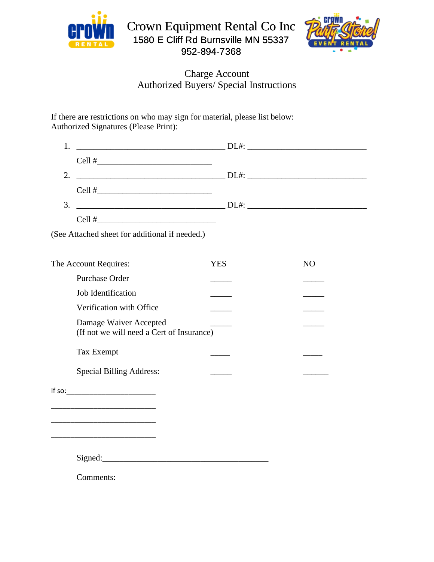



### Charge Account Authorized Buyers/ Special Instructions

If there are restrictions on who may sign for material, please list below: Authorized Signatures (Please Print):

| 1.                                                                                                                                                                                                                                   |            |    |
|--------------------------------------------------------------------------------------------------------------------------------------------------------------------------------------------------------------------------------------|------------|----|
|                                                                                                                                                                                                                                      |            |    |
| 2.<br>$D1.1:$ $D1.1:$ $D1.1:$ $D1.1:$ $D1.1:$ $D1.1:$ $D1.1:$ $D1.1:$ $D1.1:$ $D1.1:$ $D1.1:$ $D1.1:$ $D1.1:$ $D1.1:$ $D1.1:$ $D1.1:$ $D1.1:$ $D1.1:$ $D1.1:$ $D1.1:$ $D1.1:$ $D1.1:$ $D1.1:$ $D1.1:$ $D1.1:$ $D1.1:$ $D1.1:$ $D1.1$ |            |    |
|                                                                                                                                                                                                                                      |            |    |
| 3.                                                                                                                                                                                                                                   |            |    |
|                                                                                                                                                                                                                                      |            |    |
| (See Attached sheet for additional if needed.)                                                                                                                                                                                       |            |    |
| The Account Requires:                                                                                                                                                                                                                | <b>YES</b> | NO |
| <b>Purchase Order</b>                                                                                                                                                                                                                |            |    |
| Job Identification                                                                                                                                                                                                                   |            |    |
| Verification with Office                                                                                                                                                                                                             |            |    |
| Damage Waiver Accepted<br>(If not we will need a Cert of Insurance)                                                                                                                                                                  |            |    |
| <b>Tax Exempt</b>                                                                                                                                                                                                                    |            |    |
| <b>Special Billing Address:</b>                                                                                                                                                                                                      |            |    |
|                                                                                                                                                                                                                                      |            |    |
| <u> 1990 - Johann John Stein, markin fan it ferstjer fan it ferstjer fan it ferstjer fan it ferstjer fan it fers</u>                                                                                                                 |            |    |
| <u> 1990 - Johann Stoff, mars and de Britannic and de Britannic and de Britannic and de Britannic and de Britanni</u>                                                                                                                |            |    |
|                                                                                                                                                                                                                                      |            |    |
| Comments:                                                                                                                                                                                                                            |            |    |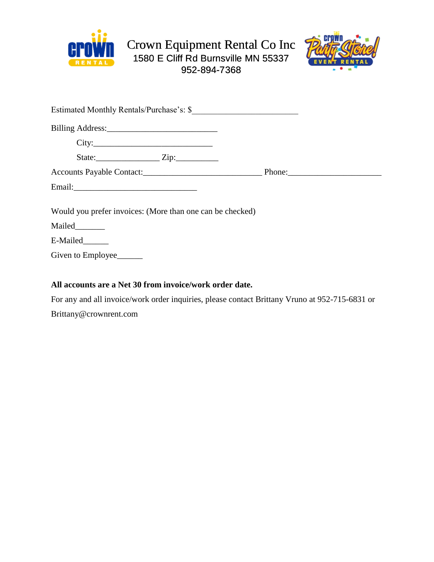



|                          | Estimated Monthly Rentals/Purchase's: \$                  |  |
|--------------------------|-----------------------------------------------------------|--|
|                          |                                                           |  |
|                          | City:                                                     |  |
|                          |                                                           |  |
|                          |                                                           |  |
|                          |                                                           |  |
|                          | Would you prefer invoices: (More than one can be checked) |  |
| Mailed_______            |                                                           |  |
| E-Mailed______           |                                                           |  |
| Given to Employee_______ |                                                           |  |
|                          |                                                           |  |

#### **All accounts are a Net 30 from invoice/work order date.**

For any and all invoice/work order inquiries, please contact Brittany Vruno at 952-715-6831 or [Brittany@crownrent.com](mailto:Brittany@crownrent.com)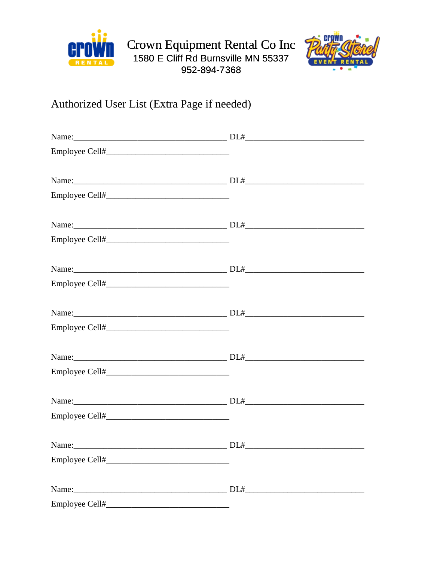



## Authorized User List (Extra Page if needed)

| Name: | DL# |
|-------|-----|
|       |     |
|       |     |
|       |     |